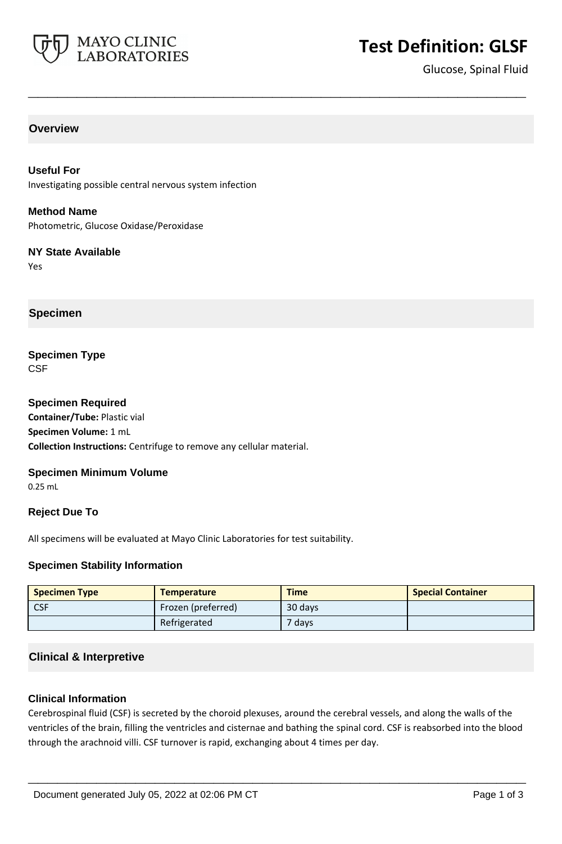

# **Test Definition: GLSF**

Glucose, Spinal Fluid

#### **Overview**

**Useful For** Investigating possible central nervous system infection

**Method Name** Photometric, Glucose Oxidase/Peroxidase

#### **NY State Available** Yes

**Specimen**

**Specimen Type CSF** 

**Specimen Required Container/Tube:** Plastic vial **Specimen Volume:** 1 mL **Collection Instructions:** Centrifuge to remove any cellular material.

#### **Specimen Minimum Volume**

0.25 mL

#### **Reject Due To**

All specimens will be evaluated at Mayo Clinic Laboratories for test suitability.

#### **Specimen Stability Information**

| <b>Specimen Type</b> | <b>Temperature</b> | <b>Time</b> | <b>Special Container</b> |
|----------------------|--------------------|-------------|--------------------------|
| <b>CSF</b>           | Frozen (preferred) | 30 days     |                          |
|                      | Refrigerated       | 7 days      |                          |

**\_\_\_\_\_\_\_\_\_\_\_\_\_\_\_\_\_\_\_\_\_\_\_\_\_\_\_\_\_\_\_\_\_\_\_\_\_\_\_\_\_\_\_\_\_\_\_\_\_\_\_**

# **Clinical & Interpretive**

#### **Clinical Information**

Cerebrospinal fluid (CSF) is secreted by the choroid plexuses, around the cerebral vessels, and along the walls of the ventricles of the brain, filling the ventricles and cisternae and bathing the spinal cord. CSF is reabsorbed into the blood through the arachnoid villi. CSF turnover is rapid, exchanging about 4 times per day.

**\_\_\_\_\_\_\_\_\_\_\_\_\_\_\_\_\_\_\_\_\_\_\_\_\_\_\_\_\_\_\_\_\_\_\_\_\_\_\_\_\_\_\_\_\_\_\_\_\_\_\_**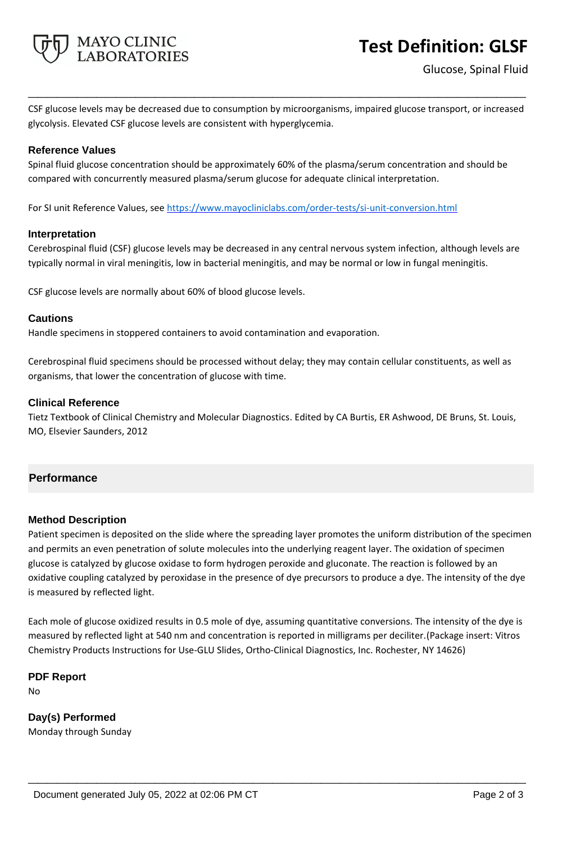

# **Test Definition: GLSF**

CSF glucose levels may be decreased due to consumption by microorganisms, impaired glucose transport, or increased glycolysis. Elevated CSF glucose levels are consistent with hyperglycemia.

**\_\_\_\_\_\_\_\_\_\_\_\_\_\_\_\_\_\_\_\_\_\_\_\_\_\_\_\_\_\_\_\_\_\_\_\_\_\_\_\_\_\_\_\_\_\_\_\_\_\_\_**

## **Reference Values**

Spinal fluid glucose concentration should be approximately 60% of the plasma/serum concentration and should be compared with concurrently measured plasma/serum glucose for adequate clinical interpretation.

For SI unit Reference Values, see<https://www.mayocliniclabs.com/order-tests/si-unit-conversion.html>

#### **Interpretation**

Cerebrospinal fluid (CSF) glucose levels may be decreased in any central nervous system infection, although levels are typically normal in viral meningitis, low in bacterial meningitis, and may be normal or low in fungal meningitis.

CSF glucose levels are normally about 60% of blood glucose levels.

#### **Cautions**

Handle specimens in stoppered containers to avoid contamination and evaporation.

Cerebrospinal fluid specimens should be processed without delay; they may contain cellular constituents, as well as organisms, that lower the concentration of glucose with time.

#### **Clinical Reference**

Tietz Textbook of Clinical Chemistry and Molecular Diagnostics. Edited by CA Burtis, ER Ashwood, DE Bruns, St. Louis, MO, Elsevier Saunders, 2012

# **Performance**

#### **Method Description**

Patient specimen is deposited on the slide where the spreading layer promotes the uniform distribution of the specimen and permits an even penetration of solute molecules into the underlying reagent layer. The oxidation of specimen glucose is catalyzed by glucose oxidase to form hydrogen peroxide and gluconate. The reaction is followed by an oxidative coupling catalyzed by peroxidase in the presence of dye precursors to produce a dye. The intensity of the dye is measured by reflected light.

Each mole of glucose oxidized results in 0.5 mole of dye, assuming quantitative conversions. The intensity of the dye is measured by reflected light at 540 nm and concentration is reported in milligrams per deciliter.(Package insert: Vitros Chemistry Products Instructions for Use-GLU Slides, Ortho-Clinical Diagnostics, Inc. Rochester, NY 14626)

**\_\_\_\_\_\_\_\_\_\_\_\_\_\_\_\_\_\_\_\_\_\_\_\_\_\_\_\_\_\_\_\_\_\_\_\_\_\_\_\_\_\_\_\_\_\_\_\_\_\_\_**

**PDF Report** No

**Day(s) Performed** Monday through Sunday